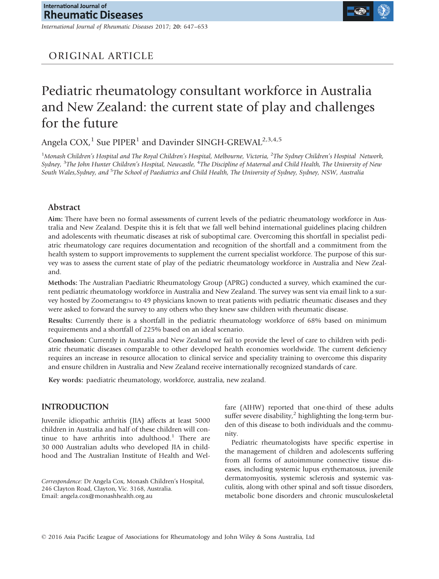International Journal of Rheumatic Diseases 2017; 20: 647–653

# ORIGINAL ARTICLE

# Pediatric rheumatology consultant workforce in Australia and New Zealand: the current state of play and challenges for the future

# Angela  $COX<sub>t</sub><sup>1</sup>$  Sue PIPER<sup>1</sup> and Davinder SINGH-GREWAL<sup>2,3,4,5</sup>

<sup>1</sup>Monash Children's Hospital and The Royal Children's Hospital, Melbourne, Victoria, <sup>2</sup>The Sydney Children's Hospital Network, Sydney, <sup>3</sup>The John Hunter Children's Hospital, Newcastle, <sup>4</sup>The Discipline of Maternal and Child Health, The University of New South Wales, Sydney, and <sup>5</sup>The School of Paediatrics and Child Health, The University of Sydney, Sydney, NSW, Australia

## Abstract

Aim: There have been no formal assessments of current levels of the pediatric rheumatology workforce in Australia and New Zealand. Despite this it is felt that we fall well behind international guidelines placing children and adolescents with rheumatic diseases at risk of suboptimal care. Overcoming this shortfall in specialist pediatric rheumatology care requires documentation and recognition of the shortfall and a commitment from the health system to support improvements to supplement the current specialist workforce. The purpose of this survey was to assess the current state of play of the pediatric rheumatology workforce in Australia and New Zealand.

Methods: The Australian Paediatric Rheumatology Group (APRG) conducted a survey, which examined the current pediatric rheumatology workforce in Australia and New Zealand. The survey was sent via email link to a survey hosted by ZoomerangTM to 49 physicians known to treat patients with pediatric rheumatic diseases and they were asked to forward the survey to any others who they knew saw children with rheumatic disease.

Results: Currently there is a shortfall in the pediatric rheumatology workforce of 68% based on minimum requirements and a shortfall of 225% based on an ideal scenario.

Conclusion: Currently in Australia and New Zealand we fail to provide the level of care to children with pediatric rheumatic diseases comparable to other developed health economies worldwide. The current deficiency requires an increase in resource allocation to clinical service and speciality training to overcome this disparity and ensure children in Australia and New Zealand receive internationally recognized standards of care.

Key words: paediatric rheumatology, workforce, australia, new zealand.

## INTRODUCTION

Juvenile idiopathic arthritis (JIA) affects at least 5000 children in Australia and half of these children will continue to have arthritis into adulthood.<sup>1</sup> There are 30 000 Australian adults who developed JIA in childhood and The Australian Institute of Health and Wel-

Correspondence: Dr Angela Cox, Monash Children's Hospital, 246 Clayton Road, Clayton, Vic. 3168, Australia. Email: angela.cox@monashhealth.org.au

fare (AIHW) reported that one-third of these adults suffer severe disability, $^2$  highlighting the long-term burden of this disease to both individuals and the community.

Pediatric rheumatologists have specific expertise in the management of children and adolescents suffering from all forms of autoimmune connective tissue diseases, including systemic lupus erythematosus, juvenile dermatomyositis, systemic sclerosis and systemic vasculitis, along with other spinal and soft tissue disorders, metabolic bone disorders and chronic musculoskeletal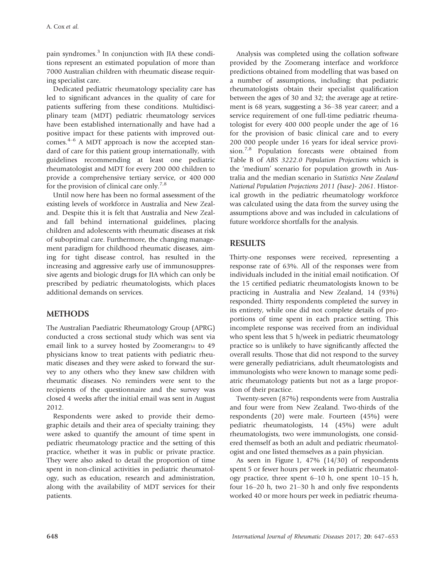pain syndromes.<sup>3</sup> In conjunction with JIA these conditions represent an estimated population of more than 7000 Australian children with rheumatic disease requiring specialist care.

Dedicated pediatric rheumatology speciality care has led to significant advances in the quality of care for patients suffering from these conditions. Multidisciplinary team (MDT) pediatric rheumatology services have been established internationally and have had a positive impact for these patients with improved outcomes.4–<sup>6</sup> A MDT approach is now the accepted standard of care for this patient group internationally, with guidelines recommending at least one pediatric rheumatologist and MDT for every 200 000 children to provide a comprehensive tertiary service, or 400 000 for the provision of clinical care only.<sup>7,8</sup>

Until now here has been no formal assessment of the existing levels of workforce in Australia and New Zealand. Despite this it is felt that Australia and New Zealand fall behind international guidelines, placing children and adolescents with rheumatic diseases at risk of suboptimal care. Furthermore, the changing management paradigm for childhood rheumatic diseases, aiming for tight disease control, has resulted in the increasing and aggressive early use of immunosuppressive agents and biologic drugs for JIA which can only be prescribed by pediatric rheumatologists, which places additional demands on services.

# **METHODS**

The Australian Paediatric Rheumatology Group (APRG) conducted a cross sectional study which was sent via email link to a survey hosted by Zoomerang<sub>TM</sub> to 49 physicians know to treat patients with pediatric rheumatic diseases and they were asked to forward the survey to any others who they knew saw children with rheumatic diseases. No reminders were sent to the recipients of the questionnaire and the survey was closed 4 weeks after the initial email was sent in August 2012.

Respondents were asked to provide their demographic details and their area of specialty training; they were asked to quantify the amount of time spent in pediatric rheumatology practice and the setting of this practice, whether it was in public or private practice. They were also asked to detail the proportion of time spent in non-clinical activities in pediatric rheumatology, such as education, research and administration, along with the availability of MDT services for their patients.

Analysis was completed using the collation software provided by the Zoomerang interface and workforce predictions obtained from modelling that was based on a number of assumptions, including: that pediatric rheumatologists obtain their specialist qualification between the ages of 30 and 32; the average age at retirement is 68 years, suggesting a 36–38 year career; and a service requirement of one full-time pediatric rheumatologist for every 400 000 people under the age of 16 for the provision of basic clinical care and to every 200 000 people under 16 years for ideal service provision.<sup>7,8</sup> Population forecasts were obtained from Table B of ABS 3222.0 Population Projections which is the 'medium' scenario for population growth in Australia and the median scenario in Statistics New Zealand National Population Projections 2011 (base)- 2061. Historical growth in the pediatric rheumatology workforce was calculated using the data from the survey using the assumptions above and was included in calculations of future workforce shortfalls for the analysis.

# RESULTS

Thirty-one responses were received, representing a response rate of 63%. All of the responses were from individuals included in the initial email notification. Of the 15 certified pediatric rheumatologists known to be practicing in Australia and New Zealand, 14 (93%) responded. Thirty respondents completed the survey in its entirety, while one did not complete details of proportions of time spent in each practice setting. This incomplete response was received from an individual who spent less that 5 h/week in pediatric rheumatology practice so is unlikely to have significantly affected the overall results. Those that did not respond to the survey were generally pediatricians, adult rheumatologists and immunologists who were known to manage some pediatric rheumatology patients but not as a large proportion of their practice.

Twenty-seven (87%) respondents were from Australia and four were from New Zealand. Two-thirds of the respondents (20) were male. Fourteen (45%) were pediatric rheumatologists, 14 (45%) were adult rheumatologists, two were immunologists, one considered themself as both an adult and pediatric rheumatologist and one listed themselves as a pain physician.

As seen in Figure 1, 47% (14/30) of respondents spent 5 or fewer hours per week in pediatric rheumatology practice, three spent 6–10 h, one spent 10–15 h, four 16–20 h, two 21–30 h and only five respondents worked 40 or more hours per week in pediatric rheuma-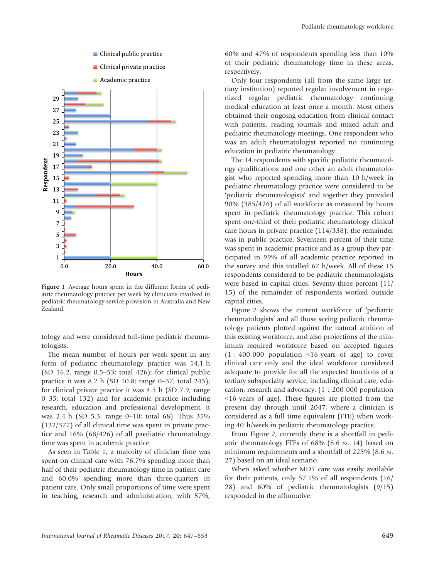

Figure 1 Average hours spent in the different forms of pediatric rheumatology practice per week by clinicians involved in pediatric rheumatology service provision in Australia and New Zealand.

tology and were considered full-time pediatric rheumatologists.

The mean number of hours per week spent in any form of pediatric rheumatology practice was 14.1 h (SD 16.2, range  $0.5-53$ ; total 426); for clinical public practice it was 8.2 h (SD 10.8; range 0–37; total 245); for clinical private practice it was 4.5 h (SD 7.9; range 0–35; total 132) and for academic practice including research, education and professional development, it was 2.4 h (SD 5.3, range 0–10; total 68). Thus 35% (132/377) of all clinical time was spent in private practice and 16% (68/426) of all paediatric rheumatology time was spent in academic practice.

As seen in Table 1, a majority of clinician time was spent on clinical care with 76.7% spending more than half of their pediatric rheumatology time in patient care and 60.0% spending more than three-quarters in patient care. Only small proportions of time were spent in teaching, research and administration, with 57%, 60% and 47% of respondents spending less than 10% of their pediatric rheumatology time in these areas, respectively.

Only four respondents (all from the same large tertiary institution) reported regular involvement in organized regular pediatric rheumatology continuing medical education at least once a month. Most others obtained their ongoing education from clinical contact with patients, reading journals and mixed adult and pediatric rheumatology meetings. One respondent who was an adult rheumatologist reported no continuing education in pediatric rheumatology.

The 14 respondents with specific pediatric rheumatology qualifications and one other an adult rheumatologist who reported spending more than 10 h/week in pediatric rheumatology practice were considered to be 'pediatric rheumatologists' and together they provided 90% (385/426) of all workforce as measured by hours spent in pediatric rheumatology practice. This cohort spent one-third of their pediatric rheumatology clinical care hours in private practice (114/338); the remainder was in public practice. Seventeen percent of their time was spent in academic practice and as a group they participated in 99% of all academic practice reported in the survey and this totalled 67 h/week. All of these 15 respondents considered to be pediatric rheumatologists were based in capital cities. Seventy-three percent (11/ 15) of the remainder of respondents worked outside capital cities.

Figure 2 shows the current workforce of 'pediatric rheumatologists' and all those seeing pediatric rheumatology patients plotted against the natural attrition of this existing workforce, and also projections of the minimum required workforce based on accepted figures  $(1: 400 000$  population  $\leq 16$  years of age) to cover clinical care only and the ideal workforce considered adequate to provide for all the expected functions of a tertiary subspecialty service, including clinical care, education, research and advocacy. (1 : 200 000 population <16 years of age). These figures are plotted from the present day through until 2047, where a clinician is considered as a full time equivalent (FTE) when working 40 h/week in pediatric rheumatology practice.

From Figure 2, currently there is a shortfall in pediatric rheumatology FTEs of 68% (8.6 vs. 14) based on minimum requirements and a shortfall of 225% (8.6 vs. 27) based on an ideal scenario.

When asked whether MDT care was easily available for their patients, only 57.1% of all respondents (16/ 28) and 60% of pediatric rheumatologists (9/15) responded in the affirmative.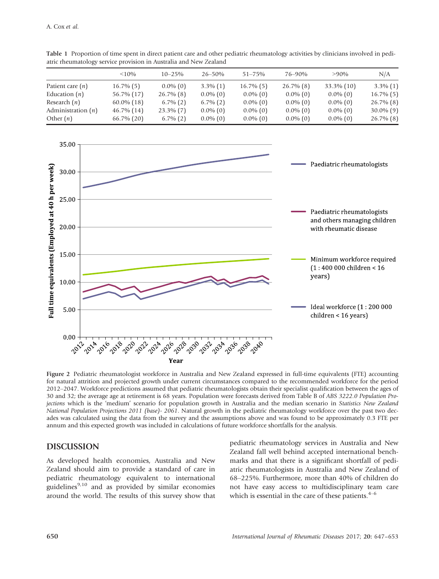|                      | $< 10\%$      | $10 - 25\%$  | $26 - 50%$  | $51 - 75%$   | $76 - 90%$   | $>90\%$     | N/A          |
|----------------------|---------------|--------------|-------------|--------------|--------------|-------------|--------------|
| Patient care $(n)$   | $16.7\%$ (5)  | $0.0\%$ (0)  | $3.3\%$ (1) | $16.7\%$ (5) | $26.7\%$ (8) | 33.3% (10)  | $3.3\%$ (1)  |
| Education $(n)$      | 56.7% (17)    | $26.7\%$ (8) | $0.0\%$ (0) | $0.0\%$ (0)  | $0.0\%$ (0)  | $0.0\%$ (0) | $16.7\%$ (5) |
| Research $(n)$       | $60.0\%$ (18) | $6.7\%$ (2)  | $6.7\%$ (2) | $0.0\%$ (0)  | $0.0\%$ (0)  | $0.0\%$ (0) | $26.7\%$ (8) |
| Administration $(n)$ | $46.7\%$ (14) | $23.3\%$ (7) | $0.0\%$ (0) | $0.0\%$ (0)  | $0.0\%$ (0)  | $0.0\%$ (0) | $30.0\%$ (9) |
| Other $(n)$          | $66.7\%$ (20) | $6.7\%$ (2)  | $0.0\%$ (0) | $0.0\%$ (0)  | $0.0\%$ (0)  | $0.0\%$ (0) | $26.7\%$ (8) |

Table 1 Proportion of time spent in direct patient care and other pediatric rheumatology activities by clinicians involved in pediatric rheumatology service provision in Australia and New Zealand



Figure 2 Pediatric rheumatologist workforce in Australia and New Zealand expressed in full-time equivalents (FTE) accounting for natural attrition and projected growth under current circumstances compared to the recommended workforce for the period 2012–2047. Workforce predictions assumed that pediatric rheumatologists obtain their specialist qualification between the ages of 30 and 32; the average age at retirement is 68 years. Population were forecasts derived from Table B of ABS 3222.0 Population Projections which is the 'medium' scenario for population growth in Australia and the median scenario in Statistics New Zealand National Population Projections 2011 (base)- 2061. Natural growth in the pediatric rheumatology workforce over the past two decades was calculated using the data from the survey and the assumptions above and was found to be approximately 0.3 FTE per annum and this expected growth was included in calculations of future workforce shortfalls for the analysis.

## DISCUSSION

As developed health economies, Australia and New Zealand should aim to provide a standard of care in pediatric rheumatology equivalent to international guidelines $^{9,10}$  and as provided by similar economies around the world. The results of this survey show that pediatric rheumatology services in Australia and New Zealand fall well behind accepted international benchmarks and that there is a significant shortfall of pediatric rheumatologists in Australia and New Zealand of 68–225%. Furthermore, more than 40% of children do not have easy access to multidisciplinary team care which is essential in the care of these patients. $4-6$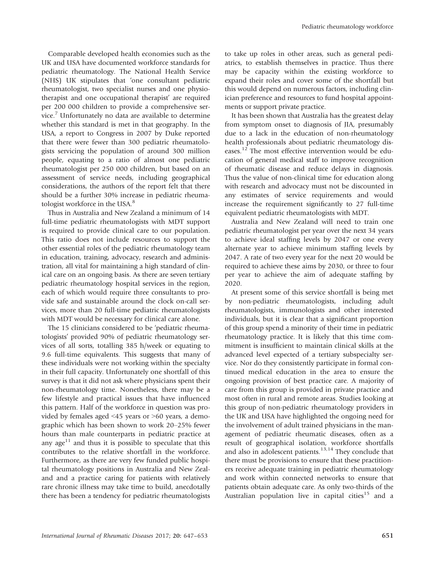Comparable developed health economies such as the UK and USA have documented workforce standards for pediatric rheumatology. The National Health Service (NHS) UK stipulates that 'one consultant pediatric rheumatologist, two specialist nurses and one physiotherapist and one occupational therapist' are required per 200 000 children to provide a comprehensive service.<sup>7</sup> Unfortunately no data are available to determine whether this standard is met in that geography. In the USA, a report to Congress in 2007 by Duke reported that there were fewer than 300 pediatric rheumatologists servicing the population of around 300 million people, equating to a ratio of almost one pediatric rheumatologist per 250 000 children, but based on an assessment of service needs, including geographical considerations, the authors of the report felt that there should be a further 30% increase in pediatric rheumatologist workforce in the USA.<sup>8</sup>

Thus in Australia and New Zealand a minimum of 14 full-time pediatric rheumatologists with MDT support is required to provide clinical care to our population. This ratio does not include resources to support the other essential roles of the pediatric rheumatology team in education, training, advocacy, research and administration, all vital for maintaining a high standard of clinical care on an ongoing basis. As there are seven tertiary pediatric rheumatology hospital services in the region, each of which would require three consultants to provide safe and sustainable around the clock on-call services, more than 20 full-time pediatric rheumatologists with MDT would be necessary for clinical care alone.

The 15 clinicians considered to be 'pediatric rheumatologists' provided 90% of pediatric rheumatology services of all sorts, totalling 385 h/week or equating to 9.6 full-time equivalents. This suggests that many of these individuals were not working within the specialty in their full capacity. Unfortunately one shortfall of this survey is that it did not ask where physicians spent their non-rheumatology time. Nonetheless, there may be a few lifestyle and practical issues that have influenced this pattern. Half of the workforce in question was provided by females aged <45 years or >60 years, a demographic which has been shown to work 20–25% fewer hours than male counterparts in pediatric practice at any age<sup>11</sup> and thus it is possible to speculate that this contributes to the relative shortfall in the workforce. Furthermore, as there are very few funded public hospital rheumatology positions in Australia and New Zealand and a practice caring for patients with relatively rare chronic illness may take time to build, anecdotally there has been a tendency for pediatric rheumatologists to take up roles in other areas, such as general pediatrics, to establish themselves in practice. Thus there may be capacity within the existing workforce to expand their roles and cover some of the shortfall but this would depend on numerous factors, including clinician preference and resources to fund hospital appointments or support private practice.

It has been shown that Australia has the greatest delay from symptom onset to diagnosis of JIA, presumably due to a lack in the education of non-rheumatology health professionals about pediatric rheumatology diseases.<sup>12</sup> The most effective intervention would be education of general medical staff to improve recognition of rheumatic disease and reduce delays in diagnosis. Thus the value of non-clinical time for education along with research and advocacy must not be discounted in any estimates of service requirements and would increase the requirement significantly to 27 full-time equivalent pediatric rheumatologists with MDT.

Australia and New Zealand will need to train one pediatric rheumatologist per year over the next 34 years to achieve ideal staffing levels by 2047 or one every alternate year to achieve minimum staffing levels by 2047. A rate of two every year for the next 20 would be required to achieve these aims by 2030, or three to four per year to achieve the aim of adequate staffing by 2020.

At present some of this service shortfall is being met by non-pediatric rheumatologists, including adult rheumatologists, immunologists and other interested individuals, but it is clear that a significant proportion of this group spend a minority of their time in pediatric rheumatology practice. It is likely that this time commitment is insufficient to maintain clinical skills at the advanced level expected of a tertiary subspecialty service. Nor do they consistently participate in formal continued medical education in the area to ensure the ongoing provision of best practice care. A majority of care from this group is provided in private practice and most often in rural and remote areas. Studies looking at this group of non-pediatric rheumatology providers in the UK and USA have highlighted the ongoing need for the involvement of adult trained physicians in the management of pediatric rheumatic diseases, often as a result of geographical isolation, workforce shortfalls and also in adolescent patients. $13,14$  They conclude that there must be provisions to ensure that these practitioners receive adequate training in pediatric rheumatology and work within connected networks to ensure that patients obtain adequate care. As only two-thirds of the Australian population live in capital cities $15$  and a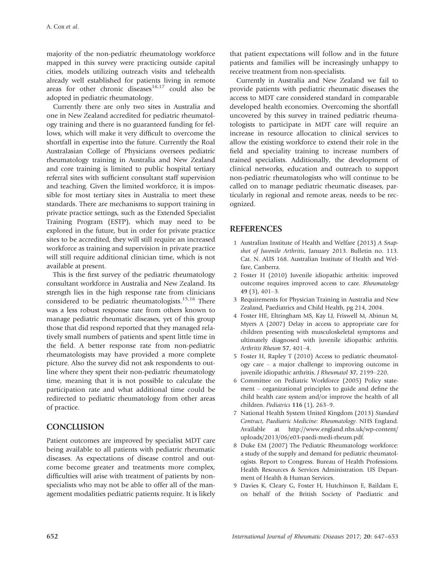majority of the non-pediatric rheumatology workforce mapped in this survey were practicing outside capital cities, models utilizing outreach visits and telehealth already well established for patients living in remote areas for other chronic diseases $16,17$  could also be adopted in pediatric rheumatology.

Currently there are only two sites in Australia and one in New Zealand accredited for pediatric rheumatology training and there is no guaranteed funding for fellows, which will make it very difficult to overcome the shortfall in expertise into the future. Currently the Roal Australasian College of Physicians oversees pediatric rheumatology training in Australia and New Zealand and core training is limited to public hospital tertiary referral sites with sufficient consultant staff supervision and teaching. Given the limited workforce, it is impossible for most tertiary sites in Australia to meet these standards. There are mechanisms to support training in private practice settings, such as the Extended Specialist Training Program (ESTP), which may need to be explored in the future, but in order for private practice sites to be accredited, they will still require an increased workforce as training and supervision in private practice will still require additional clinician time, which is not available at present.

This is the first survey of the pediatric rheumatology consultant workforce in Australia and New Zealand. Its strength lies in the high response rate from clinicians considered to be pediatric rheumatologists.<sup>15,16</sup> There was a less robust response rate from others known to manage pediatric rheumatic diseases, yet of this group those that did respond reported that they managed relatively small numbers of patients and spent little time in the field. A better response rate from non-pediatric rheumatologists may have provided a more complete picture. Also the survey did not ask respondents to outline where they spent their non-pediatric rheumatology time, meaning that it is not possible to calculate the participation rate and what additional time could be redirected to pediatric rheumatology from other areas of practice.

#### **CONCLUSION**

Patient outcomes are improved by specialist MDT care being available to all patients with pediatric rheumatic diseases. As expectations of disease control and outcome become greater and treatments more complex, difficulties will arise with treatment of patients by nonspecialists who may not be able to offer all of the management modalities pediatric patients require. It is likely that patient expectations will follow and in the future patients and families will be increasingly unhappy to receive treatment from non-specialists.

Currently in Australia and New Zealand we fail to provide patients with pediatric rheumatic diseases the access to MDT care considered standard in comparable developed health economies. Overcoming the shortfall uncovered by this survey in trained pediatric rheumatologists to participate in MDT care will require an increase in resource allocation to clinical services to allow the existing workforce to extend their role in the field and speciality training to increase numbers of trained specialists. Additionally, the development of clinical networks, education and outreach to support non-pediatric rheumatologists who will continue to be called on to manage pediatric rheumatic diseases, particularly in regional and remote areas, needs to be recognized.

#### REFERENCES

- 1 Australian Institute of Health and Welfare (2013) A Snapshot of Juvenile Arthritis, January 2013. Bulletin no. 113. Cat. N. AUS 168. Australian Institute of Health and Welfare, Canberra.
- 2 Foster H (2010) Juvenile idiopathic arthritis: improved outcome requires improved access to care. Rheumatology 49 (3), 401–3.
- 3 Requirements for Physician Training in Australia and New Zealand, Paediatrics and Child Health, pg 214, 2004.
- 4 Foster HE, Eltringham MS, Kay LJ, Friswell M, Abinun M, Myers A (2007) Delay in access to appropriate care for children presenting with musculoskeletal symptoms and ultimately diagnosed with juvenile idiopathic arthritis. Arthritis Rheum 57, 401–4.
- 5 Foster H, Rapley T (2010) Access to pediatric rheumatology care – a major challenge to improving outcome in juvenile idiopathic arthritis. J Rheumatol 37, 2199–220.
- 6 Committee on Pediatric Workforce (2005) Policy statement – organizational principles to guide and define the child health care system and/or improve the health of all children. Pediatrics 116 (1), 263–9.
- 7 National Health System United Kingdom (2013) Standard Contract, Paediatric Medicine: Rheumatology. NHS England. Available at [http://www.england.nhs.uk/wp-content/](http://www.england.nhs.uk/wp-content/uploads/2013/06/e03-paedi-medi-rheum.pdf) [uploads/2013/06/e03-paedi-medi-rheum.pdf.](http://www.england.nhs.uk/wp-content/uploads/2013/06/e03-paedi-medi-rheum.pdf)
- 8 Duke EM (2007) The Pediatric Rheumatology workforce: a study of the supply and demand for pediatric rheumatologists. Report to Congress. Bureau of Health Professions. Health Resources & Services Administration. US Department of Health & Human Services.
- 9 Davies K, Cleary G, Foster H, Hutchinson E, Baildam E, on behalf of the British Society of Paediatric and